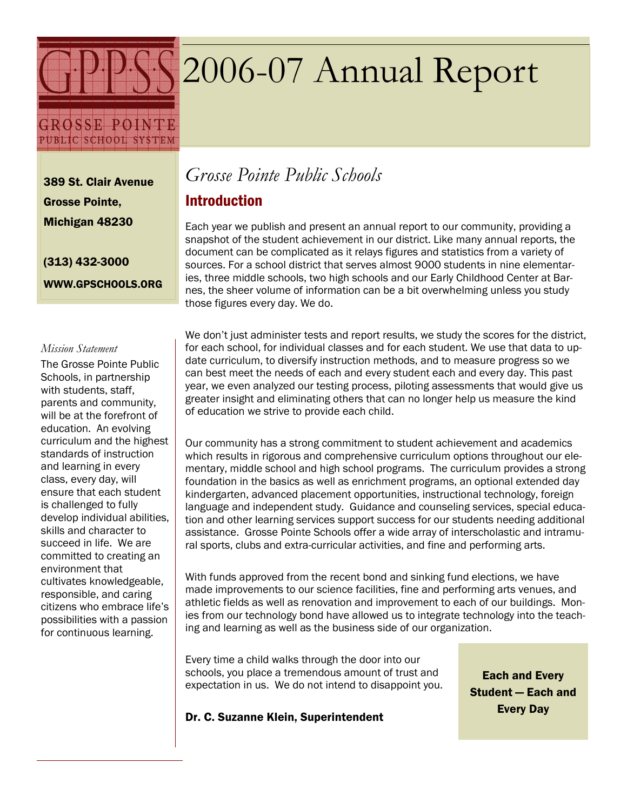# 2006-07 Annual Report

**GROSSE POINTE** PUBLIC SCHOOL SYSTEM

389 St. Clair Avenue Grosse Pointe, Michigan 48230

(313) 432-3000 WWW.GPSCHOOLS.ORG

#### Mission Statement

The Grosse Pointe Public Schools, in partnership with students, staff, parents and community, will be at the forefront of education. An evolving curriculum and the highest standards of instruction and learning in every class, every day, will ensure that each student is challenged to fully develop individual abilities, skills and character to succeed in life. We are committed to creating an environment that cultivates knowledgeable, responsible, and caring citizens who embrace life's possibilities with a passion for continuous learning.

# Grosse Pointe Public Schools

## Introduction

Each year we publish and present an annual report to our community, providing a snapshot of the student achievement in our district. Like many annual reports, the document can be complicated as it relays figures and statistics from a variety of sources. For a school district that serves almost 9000 students in nine elementaries, three middle schools, two high schools and our Early Childhood Center at Barnes, the sheer volume of information can be a bit overwhelming unless you study those figures every day. We do.

We don't just administer tests and report results, we study the scores for the district, for each school, for individual classes and for each student. We use that data to update curriculum, to diversify instruction methods, and to measure progress so we can best meet the needs of each and every student each and every day. This past year, we even analyzed our testing process, piloting assessments that would give us greater insight and eliminating others that can no longer help us measure the kind of education we strive to provide each child.

Our community has a strong commitment to student achievement and academics which results in rigorous and comprehensive curriculum options throughout our elementary, middle school and high school programs. The curriculum provides a strong foundation in the basics as well as enrichment programs, an optional extended day kindergarten, advanced placement opportunities, instructional technology, foreign language and independent study. Guidance and counseling services, special education and other learning services support success for our students needing additional assistance. Grosse Pointe Schools offer a wide array of interscholastic and intramural sports, clubs and extra-curricular activities, and fine and performing arts.

With funds approved from the recent bond and sinking fund elections, we have made improvements to our science facilities, fine and performing arts venues, and athletic fields as well as renovation and improvement to each of our buildings. Monies from our technology bond have allowed us to integrate technology into the teaching and learning as well as the business side of our organization.

Every time a child walks through the door into our schools, you place a tremendous amount of trust and expectation in us. We do not intend to disappoint you.

Each and Every Student — Each and Every Day

#### Dr. C. Suzanne Klein, Superintendent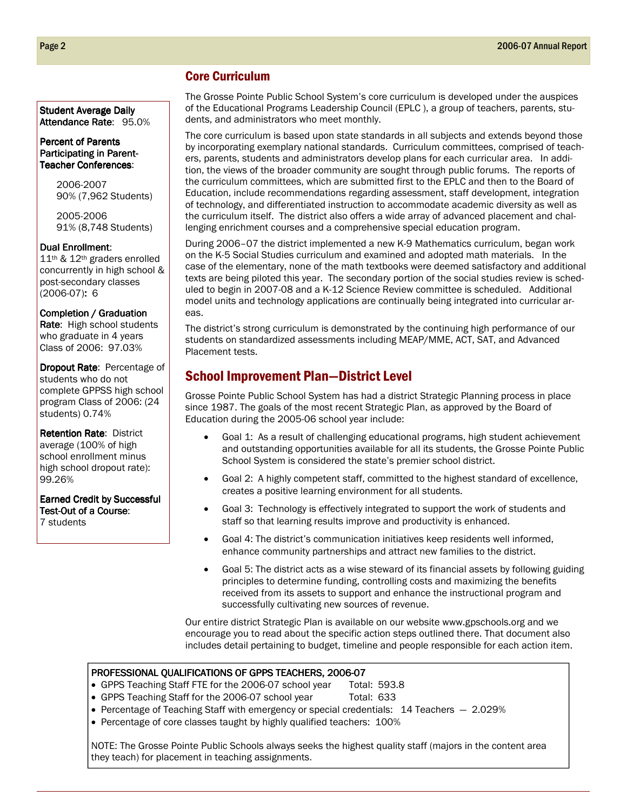#### Core Curriculum

The Grosse Pointe Public School System's core curriculum is developed under the auspices of the Educational Programs Leadership Council (EPLC ), a group of teachers, parents, students, and administrators who meet monthly.

The core curriculum is based upon state standards in all subjects and extends beyond those by incorporating exemplary national standards. Curriculum committees, comprised of teachers, parents, students and administrators develop plans for each curricular area. In addition, the views of the broader community are sought through public forums. The reports of the curriculum committees, which are submitted first to the EPLC and then to the Board of Education, include recommendations regarding assessment, staff development, integration of technology, and differentiated instruction to accommodate academic diversity as well as the curriculum itself. The district also offers a wide array of advanced placement and challenging enrichment courses and a comprehensive special education program.

During 2006–07 the district implemented a new K-9 Mathematics curriculum, began work on the K-5 Social Studies curriculum and examined and adopted math materials. In the case of the elementary, none of the math textbooks were deemed satisfactory and additional texts are being piloted this year. The secondary portion of the social studies review is scheduled to begin in 2007-08 and a K-12 Science Review committee is scheduled. Additional model units and technology applications are continually being integrated into curricular areas.

The district's strong curriculum is demonstrated by the continuing high performance of our students on standardized assessments including MEAP/MME, ACT, SAT, and Advanced Placement tests.

#### School Improvement Plan—District Level

Grosse Pointe Public School System has had a district Strategic Planning process in place since 1987. The goals of the most recent Strategic Plan, as approved by the Board of Education during the 2005-06 school year include:

- Goal 1: As a result of challenging educational programs, high student achievement and outstanding opportunities available for all its students, the Grosse Pointe Public School System is considered the state's premier school district.
- Goal 2: A highly competent staff, committed to the highest standard of excellence, creates a positive learning environment for all students.
- Goal 3: Technology is effectively integrated to support the work of students and staff so that learning results improve and productivity is enhanced.
- Goal 4: The district's communication initiatives keep residents well informed, enhance community partnerships and attract new families to the district.
- Goal 5: The district acts as a wise steward of its financial assets by following guiding principles to determine funding, controlling costs and maximizing the benefits received from its assets to support and enhance the instructional program and successfully cultivating new sources of revenue.

Our entire district Strategic Plan is available on our website www.gpschools.org and we encourage you to read about the specific action steps outlined there. That document also includes detail pertaining to budget, timeline and people responsible for each action item.

#### PROFESSIONAL QUALIFICATIONS OF GPPS TEACHERS, 2006-07

- GPPS Teaching Staff FTE for the 2006-07 school year Total: 593.8
- GPPS Teaching Staff for the 2006-07 school year Total: 633
- Percentage of Teaching Staff with emergency or special credentials: 14 Teachers 2.029%
- Percentage of core classes taught by highly qualified teachers: 100%

NOTE: The Grosse Pointe Public Schools always seeks the highest quality staff (majors in the content area they teach) for placement in teaching assignments.

Student Average Daily Attendance Rate: 95.0%

#### Percent of Parents Participating in Parent-Teacher Conferences:

2006-2007 90% (7,962 Students)

2005-2006 91% (8,748 Students)

#### Dual Enrollment:

11th & 12th graders enrolled concurrently in high school & post-secondary classes (2006-07): 6

#### Completion / Graduation

Rate: High school students who graduate in 4 years Class of 2006: 97.03%

Dropout Rate: Percentage of students who do not complete GPPSS high school program Class of 2006: (24 students) 0.74%

**Retention Rate: District** average (100% of high school enrollment minus high school dropout rate): 99.26%

Earned Credit by Successful Test-Out of a Course: 7 students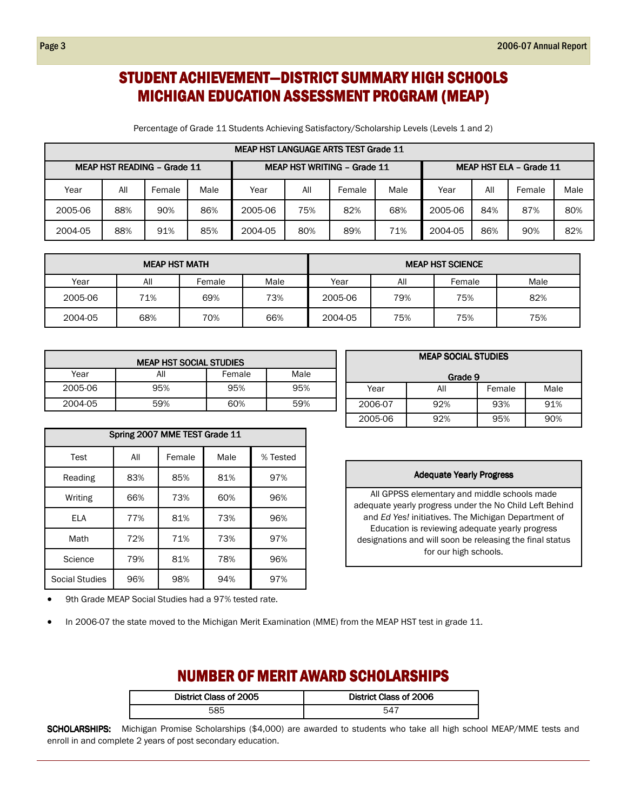## STUDENT ACHIEVEMENT—DISTRICT SUMMARY HIGH SCHOOLS MICHIGAN EDUCATION ASSESSMENT PROGRAM (MEAP)

Percentage of Grade 11 Students Achieving Satisfactory/Scholarship Levels (Levels 1 and 2)

| MEAP HST LANGUAGE ARTS TEST Grade 11 |     |        |                                    |         |     |                                |      |         |     |        |      |
|--------------------------------------|-----|--------|------------------------------------|---------|-----|--------------------------------|------|---------|-----|--------|------|
| <b>MEAP HST READING - Grade 11</b>   |     |        | <b>MEAP HST WRITING - Grade 11</b> |         |     | <b>MEAP HST ELA - Grade 11</b> |      |         |     |        |      |
| Year                                 | All | Female | Male                               | Year    | All | Female                         | Male | Year    | All | Female | Male |
| 2005-06                              | 88% | 90%    | 86%                                | 2005-06 | 75% | 82%                            | 68%  | 2005-06 | 84% | 87%    | 80%  |
| 2004-05                              | 88% | 91%    | 85%                                | 2004-05 | 80% | 89%                            | 71%  | 2004-05 | 86% | 90%    | 82%  |

| <b>MEAP HST MATH</b> |     |        |      | <b>MEAP HST SCIENCE</b> |     |        |      |
|----------------------|-----|--------|------|-------------------------|-----|--------|------|
| Year                 | All | Female | Male | Year                    | All | Female | Male |
| 2005-06              | 71% | 69%    | 73%  | 2005-06                 | 79% | 75%    | 82%  |
| 2004-05              | 68% | 70%    | 66%  | 2004-05                 | 75% | 75%    | 75%  |

| <b>MEAP HST SOCIAL STUDIES</b> |     |        |      |  |  |  |  |  |
|--------------------------------|-----|--------|------|--|--|--|--|--|
| Year                           | All | Female | Male |  |  |  |  |  |
| 2005-06                        | 95% | 95%    | 95%  |  |  |  |  |  |
| 2004-05                        | 59% | 60%    | 59%  |  |  |  |  |  |

|                       | Spring 2007 MME TEST Grade 11 |        |      |          |  |  |  |  |  |
|-----------------------|-------------------------------|--------|------|----------|--|--|--|--|--|
| Test                  | All                           | Female | Male | % Tested |  |  |  |  |  |
| Reading               | 83%                           | 85%    | 81%  | 97%      |  |  |  |  |  |
| Writing               | 66%                           | 73%    | 60%  | 96%      |  |  |  |  |  |
| <b>ELA</b>            | 77%                           | 81%    | 73%  | 96%      |  |  |  |  |  |
| Math                  | 72%                           | 71%    | 73%  | 97%      |  |  |  |  |  |
| Science               | 79%                           | 81%    | 78%  | 96%      |  |  |  |  |  |
| <b>Social Studies</b> | 96%                           | 98%    | 94%  | 97%      |  |  |  |  |  |

| <b>MEAP SOCIAL STUDIES</b> |     |        |      |  |  |  |  |
|----------------------------|-----|--------|------|--|--|--|--|
| Grade 9                    |     |        |      |  |  |  |  |
| Year                       | All | Female | Male |  |  |  |  |
| 2006-07                    | 92% | 93%    | 91%  |  |  |  |  |
| 2005-06                    | 92% | 95%    | 90%  |  |  |  |  |

#### Adequate Yearly Progress

All GPPSS elementary and middle schools made adequate yearly progress under the No Child Left Behind and Ed Yes! initiatives. The Michigan Department of Education is reviewing adequate yearly progress designations and will soon be releasing the final status for our high schools.

9th Grade MEAP Social Studies had a 97% tested rate.

• In 2006-07 the state moved to the Michigan Merit Examination (MME) from the MEAP HST test in grade 11.

### NUMBER OF MERIT AWARD SCHOLARSHIPS

| District Class of 2005 | District Class of 2006 |
|------------------------|------------------------|
| 585                    | -547                   |

SCHOLARSHIPS: Michigan Promise Scholarships (\$4,000) are awarded to students who take all high school MEAP/MME tests and enroll in and complete 2 years of post secondary education.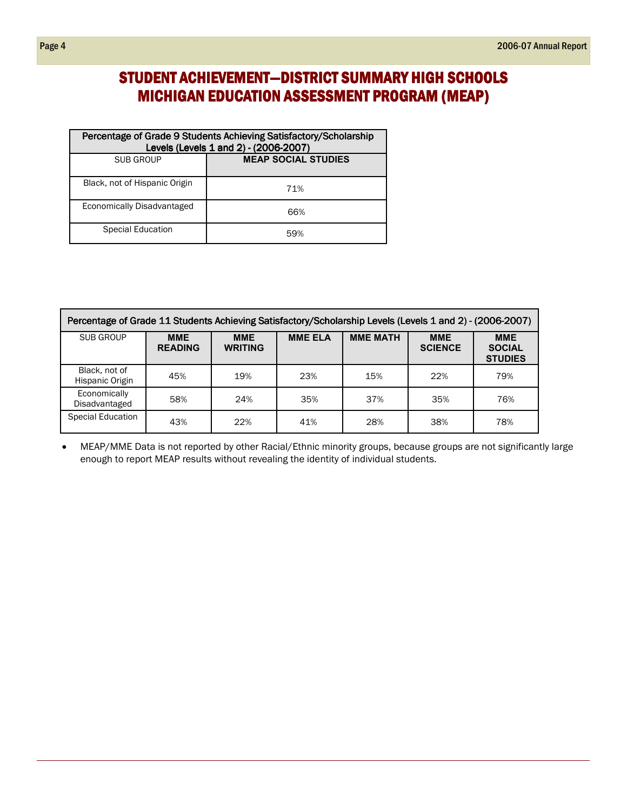# STUDENT ACHIEVEMENT-DISTRICT SUMMARY HIGH SCHOOLS MICHIGAN EDUCATION ASSESSMENT PROGRAM (MEAP)

| Percentage of Grade 9 Students Achieving Satisfactory/Scholarship<br>Levels (Levels 1 and 2) - (2006-2007) |                            |  |  |  |  |
|------------------------------------------------------------------------------------------------------------|----------------------------|--|--|--|--|
| SUB GROUP                                                                                                  | <b>MEAP SOCIAL STUDIES</b> |  |  |  |  |
| Black, not of Hispanic Origin                                                                              | 71%                        |  |  |  |  |
| Economically Disadvantaged                                                                                 | 66%                        |  |  |  |  |
| Special Education                                                                                          | 59%                        |  |  |  |  |

| Percentage of Grade 11 Students Achieving Satisfactory/Scholarship Levels (Levels 1 and 2) - (2006-2007) |                              |                              |                |                 |                              |                                               |  |  |  |
|----------------------------------------------------------------------------------------------------------|------------------------------|------------------------------|----------------|-----------------|------------------------------|-----------------------------------------------|--|--|--|
| SUB GROUP                                                                                                | <b>MME</b><br><b>READING</b> | <b>MME</b><br><b>WRITING</b> | <b>MME ELA</b> | <b>MME MATH</b> | <b>MME</b><br><b>SCIENCE</b> | <b>MME</b><br><b>SOCIAL</b><br><b>STUDIES</b> |  |  |  |
| Black, not of<br>Hispanic Origin                                                                         | 45%                          | 19%                          | 23%            | 15%             | 22%                          | 79%                                           |  |  |  |
| Economically<br>Disadvantaged                                                                            | 58%                          | 24%                          | 35%            | 37%             | 35%                          | 76%                                           |  |  |  |
| <b>Special Education</b>                                                                                 | 43%                          | 22%                          | 41%            | 28%             | 38%                          | 78%                                           |  |  |  |

• MEAP/MME Data is not reported by other Racial/Ethnic minority groups, because groups are not significantly large enough to report MEAP results without revealing the identity of individual students.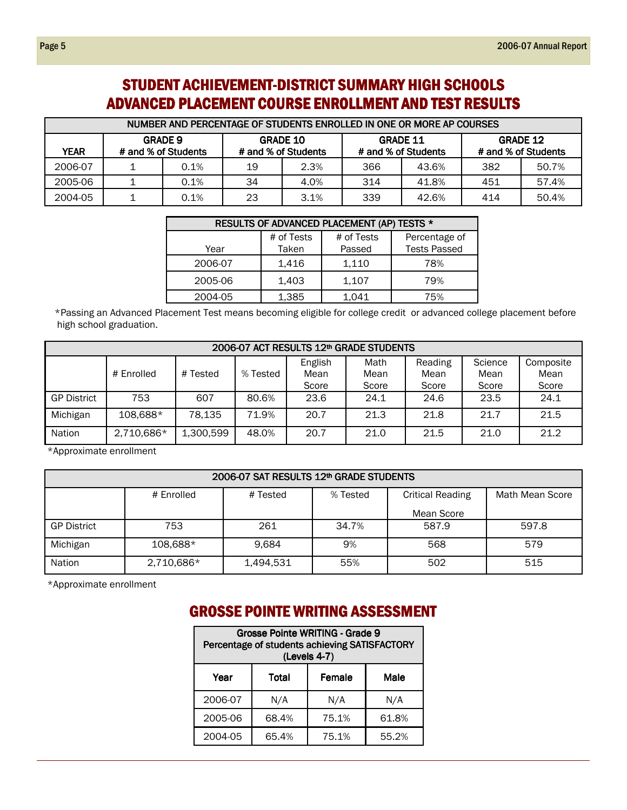# STUDENT ACHIEVEMENT-DISTRICT SUMMARY HIGH SCHOOLS ADVANCED PLACEMENT COURSE ENROLLMENT AND TEST RESULTS

| NUMBER AND PERCENTAGE OF STUDENTS ENROLLED IN ONE OR MORE AP COURSES |                                       |      |                                        |      |                                        |       |                                        |       |  |
|----------------------------------------------------------------------|---------------------------------------|------|----------------------------------------|------|----------------------------------------|-------|----------------------------------------|-------|--|
| <b>YEAR</b>                                                          | <b>GRADE 9</b><br># and % of Students |      | <b>GRADE 10</b><br># and % of Students |      | <b>GRADE 11</b><br># and % of Students |       | <b>GRADE 12</b><br># and % of Students |       |  |
| 2006-07                                                              |                                       | 0.1% | 19                                     | 2.3% | 366                                    | 43.6% | 382                                    | 50.7% |  |
| 2005-06                                                              |                                       | 0.1% | 34                                     | 4.0% | 314                                    | 41.8% | 451                                    | 57.4% |  |
| 2004-05                                                              |                                       | 0.1% | 23                                     | 3.1% | 339                                    | 42.6% | 414                                    | 50.4% |  |

| RESULTS OF ADVANCED PLACEMENT (AP) TESTS * |                     |                      |                                      |  |  |  |  |  |  |
|--------------------------------------------|---------------------|----------------------|--------------------------------------|--|--|--|--|--|--|
| Year                                       | # of Tests<br>Taken | # of Tests<br>Passed | Percentage of<br><b>Tests Passed</b> |  |  |  |  |  |  |
| 2006-07                                    | 1,416               | 1,110                | 78%                                  |  |  |  |  |  |  |
| 2005-06                                    | 1,403               | 1,107                | 79%                                  |  |  |  |  |  |  |
| 2004-05                                    | 1,385               | 1,041                | 75%                                  |  |  |  |  |  |  |

\*Passing an Advanced Placement Test means becoming eligible for college credit or advanced college placement before high school graduation.

| 2006-07 ACT RESULTS 12th GRADE STUDENTS |            |           |          |                          |                       |                          |                          |                            |  |
|-----------------------------------------|------------|-----------|----------|--------------------------|-----------------------|--------------------------|--------------------------|----------------------------|--|
|                                         | # Enrolled | # Tested  | % Tested | English<br>Mean<br>Score | Math<br>Mean<br>Score | Reading<br>Mean<br>Score | Science<br>Mean<br>Score | Composite<br>Mean<br>Score |  |
| <b>GP District</b>                      | 753        | 607       | 80.6%    | 23.6                     | 24.1                  | 24.6                     | 23.5                     | 24.1                       |  |
| Michigan                                | 108,688*   | 78,135    | 71.9%    | 20.7                     | 21.3                  | 21.8                     | 21.7                     | 21.5                       |  |
| <b>Nation</b>                           | 2,710,686* | 1,300,599 | 48.0%    | 20.7                     | 21.0                  | 21.5                     | 21.0                     | 21.2                       |  |

\*Approximate enrollment

#### 2006-07 SAT RESULTS 12th GRADE STUDENTS # Enrolled | # Tested | % Tested | Critical Reading Mean Score Math Mean Score GP District 753 261 34.7% 587.9 597.8 Michigan 108,688\* 9,684 9% 568 579 Nation 2,710,686\* 1,494,531 55% 502 515

\*Approximate enrollment

# **GROSSE POINTE WRITING ASSESSMENT**

| Grosse Pointe WRITING - Grade 9<br>Percentage of students achieving SATISFACTORY<br>(Levels 4-7) |       |       |       |  |  |  |  |
|--------------------------------------------------------------------------------------------------|-------|-------|-------|--|--|--|--|
| Female<br>Male<br>Year<br>Total                                                                  |       |       |       |  |  |  |  |
| 2006-07                                                                                          | N/A   | N/A   | N/A   |  |  |  |  |
| 2005-06                                                                                          | 68.4% | 75.1% | 61.8% |  |  |  |  |
| 2004-05                                                                                          | 65.4% | 75.1% | 55.2% |  |  |  |  |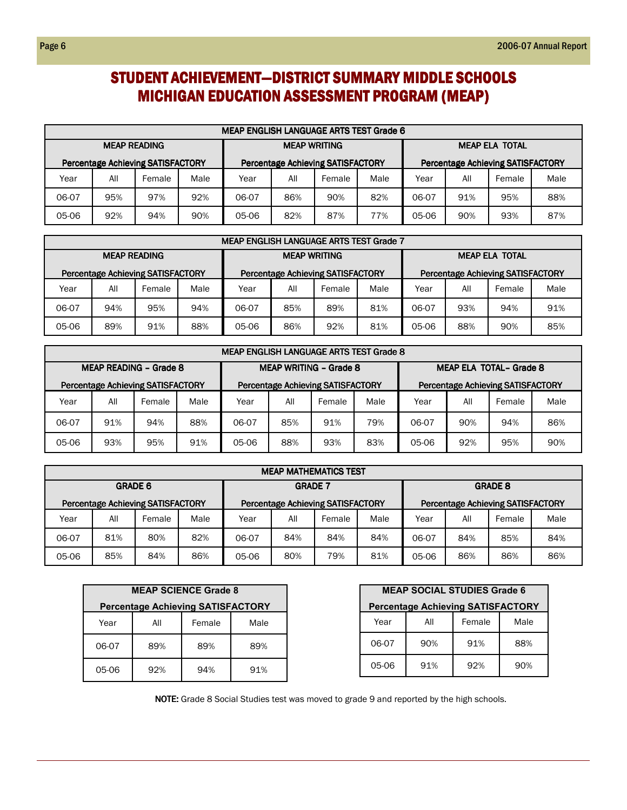# STUDENT ACHIEVEMENT-DISTRICT SUMMARY MIDDLE SCHOOLS MICHIGAN EDUCATION ASSESSMENT PROGRAM (MEAP)

|                                          | <b>MEAP ENGLISH LANGUAGE ARTS TEST Grade 6</b> |        |      |                                            |     |        |      |                                          |     |     |     |  |  |
|------------------------------------------|------------------------------------------------|--------|------|--------------------------------------------|-----|--------|------|------------------------------------------|-----|-----|-----|--|--|
| <b>MEAP READING</b>                      |                                                |        |      | <b>MEAP WRITING</b>                        |     |        |      | <b>MEAP ELA TOTAL</b>                    |     |     |     |  |  |
| <b>Percentage Achieving SATISFACTORY</b> |                                                |        |      | <b>Percentage Achieving SATISFACTORY</b>   |     |        |      | <b>Percentage Achieving SATISFACTORY</b> |     |     |     |  |  |
| Year                                     | All                                            | Female | Male | Year                                       | All | Female | Male | All<br>Female<br>Year                    |     |     |     |  |  |
| 06-07                                    | 95%                                            | 97%    | 92%  | 82%<br>86%<br>90%<br>91%<br>06-07<br>06-07 |     |        |      |                                          |     | 95% | 88% |  |  |
| 05-06                                    | 94%<br>92%<br>90%                              |        |      |                                            | 82% | 87%    | 77%  | 05-06                                    | 90% | 93% | 87% |  |  |

|                                          | <b>MEAP ENGLISH LANGUAGE ARTS TEST Grade 7</b> |        |      |                                            |                                      |     |     |                                          |     |        |      |  |  |  |
|------------------------------------------|------------------------------------------------|--------|------|--------------------------------------------|--------------------------------------|-----|-----|------------------------------------------|-----|--------|------|--|--|--|
| <b>MEAP READING</b>                      |                                                |        |      | <b>MEAP WRITING</b>                        |                                      |     |     | <b>MEAP ELA TOTAL</b>                    |     |        |      |  |  |  |
| <b>Percentage Achieving SATISFACTORY</b> |                                                |        |      | <b>Percentage Achieving SATISFACTORY</b>   |                                      |     |     | <b>Percentage Achieving SATISFACTORY</b> |     |        |      |  |  |  |
| Year                                     | All                                            | Female | Male | Year                                       | All<br>Male<br>All<br>Year<br>Female |     |     |                                          |     | Female | Male |  |  |  |
| 06-07                                    | 94%                                            | 95%    | 94%  | 81%<br>85%<br>89%<br>93%<br>06-07<br>06-07 |                                      |     |     |                                          | 94% | 91%    |      |  |  |  |
| 05-06                                    | 89%                                            | 91%    | 88%  | 05-06                                      | 86%                                  | 92% | 81% | 05-06                                    | 88% | 90%    | 85%  |  |  |  |

|                                          | <b>MEAP ENGLISH LANGUAGE ARTS TEST Grade 8</b> |                               |      |                                            |                                      |                                          |  |                                          |  |        |      |  |  |
|------------------------------------------|------------------------------------------------|-------------------------------|------|--------------------------------------------|--------------------------------------|------------------------------------------|--|------------------------------------------|--|--------|------|--|--|
|                                          |                                                | <b>MEAP READING - Grade 8</b> |      | <b>MEAP WRITING - Grade 8</b>              |                                      |                                          |  | MEAP ELA TOTAL- Grade 8                  |  |        |      |  |  |
| <b>Percentage Achieving SATISFACTORY</b> |                                                |                               |      |                                            |                                      | <b>Percentage Achieving SATISFACTORY</b> |  | <b>Percentage Achieving SATISFACTORY</b> |  |        |      |  |  |
| Year                                     | All                                            | Female                        | Male | Year                                       | Male<br>All<br>All<br>Female<br>Year |                                          |  |                                          |  | Female | Male |  |  |
| 06-07                                    | 91%                                            | 94%                           | 88%  | 85%<br>91%<br>79%<br>90%<br>06-07<br>06-07 |                                      |                                          |  |                                          |  | 94%    | 86%  |  |  |
| 05-06                                    | 93%                                            | 95%                           | 91%  | 05-06                                      | 88%<br>93%<br>83%<br>92%<br>05-06    |                                          |  |                                          |  |        | 90%  |  |  |

|                | <b>MEAP MATHEMATICS TEST</b> |                                          |      |                                                                                      |     |        |      |                |      |     |     |  |  |
|----------------|------------------------------|------------------------------------------|------|--------------------------------------------------------------------------------------|-----|--------|------|----------------|------|-----|-----|--|--|
| <b>GRADE 6</b> |                              |                                          |      | <b>GRADE 7</b>                                                                       |     |        |      | <b>GRADE 8</b> |      |     |     |  |  |
|                |                              | <b>Percentage Achieving SATISFACTORY</b> |      | <b>Percentage Achieving SATISFACTORY</b><br><b>Percentage Achieving SATISFACTORY</b> |     |        |      |                |      |     |     |  |  |
| Year           | All                          | Female                                   | Male | Year                                                                                 | All | Female | Male | Year           | Male |     |     |  |  |
| 06-07          | 81%                          | 80%                                      | 82%  | 06-07                                                                                | 84% | 84%    | 84%  | 06-07          | 84%  | 85% | 84% |  |  |
| 05-06          | 85%                          | 84%                                      | 86%  | 05-06                                                                                | 80% | 79%    | 81%  | 05-06          | 86%  | 86% | 86% |  |  |

| <b>MEAP SCIENCE Grade 8</b>              |                       |  |  |  |  |  |  |  |  |  |  |
|------------------------------------------|-----------------------|--|--|--|--|--|--|--|--|--|--|
| <b>Percentage Achieving SATISFACTORY</b> |                       |  |  |  |  |  |  |  |  |  |  |
| Year                                     | Female<br>All<br>Male |  |  |  |  |  |  |  |  |  |  |
| 06-07                                    | 89%<br>89%<br>89%     |  |  |  |  |  |  |  |  |  |  |
| 05-06                                    | 92%<br>94%<br>91%     |  |  |  |  |  |  |  |  |  |  |

| <b>MEAP SOCIAL STUDIES Grade 6</b>       |                   |  |  |  |  |  |  |  |  |  |  |
|------------------------------------------|-------------------|--|--|--|--|--|--|--|--|--|--|
| <b>Percentage Achieving SATISFACTORY</b> |                   |  |  |  |  |  |  |  |  |  |  |
| Female<br>Male<br>Year<br>All            |                   |  |  |  |  |  |  |  |  |  |  |
| 06-07                                    | 91%<br>88%<br>90% |  |  |  |  |  |  |  |  |  |  |
| 05-06                                    | 91%<br>92%<br>90% |  |  |  |  |  |  |  |  |  |  |

NOTE: Grade 8 Social Studies test was moved to grade 9 and reported by the high schools.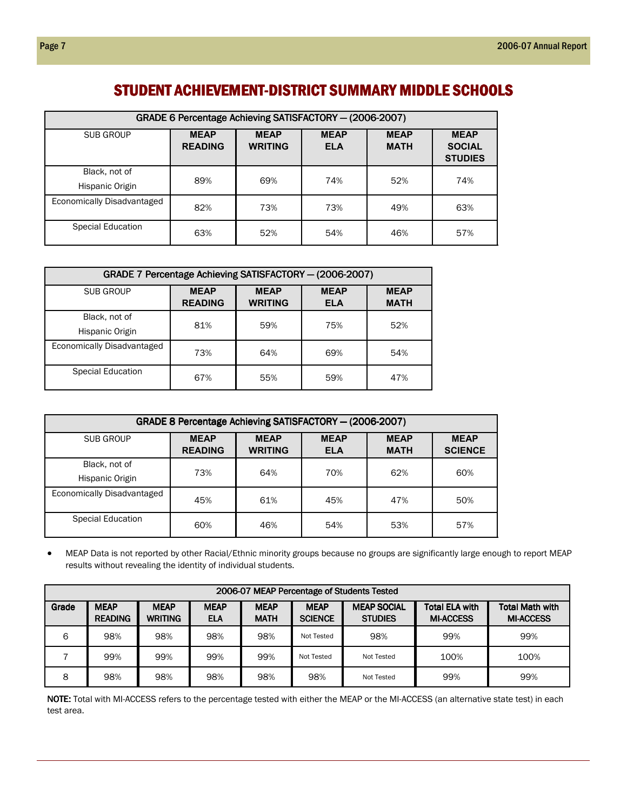## STUDENT ACHIEVEMENT-DISTRICT SUMMARY MIDDLE SCHOOLS

| GRADE 6 Percentage Achieving SATISFACTORY - (2006-2007) |                               |                               |                           |                            |                                                |  |  |  |  |  |
|---------------------------------------------------------|-------------------------------|-------------------------------|---------------------------|----------------------------|------------------------------------------------|--|--|--|--|--|
| SUB GROUP                                               | <b>MEAP</b><br><b>READING</b> | <b>MEAP</b><br><b>WRITING</b> | <b>MEAP</b><br><b>ELA</b> | <b>MEAP</b><br><b>MATH</b> | <b>MEAP</b><br><b>SOCIAL</b><br><b>STUDIES</b> |  |  |  |  |  |
| Black, not of<br>Hispanic Origin                        | 89%                           | 69%                           | 74%                       | 52%                        | 74%                                            |  |  |  |  |  |
| Economically Disadvantaged                              | 82%                           | 73%                           | 73%                       | 49%                        | 63%                                            |  |  |  |  |  |
| <b>Special Education</b>                                | 63%                           | 52%                           | 54%                       | 46%                        | 57%                                            |  |  |  |  |  |

| GRADE 7 Percentage Achieving SATISFACTORY - (2006-2007) |                               |                               |                           |                            |  |  |  |  |  |  |
|---------------------------------------------------------|-------------------------------|-------------------------------|---------------------------|----------------------------|--|--|--|--|--|--|
| <b>SUB GROUP</b>                                        | <b>MEAP</b><br><b>READING</b> | <b>MEAP</b><br><b>WRITING</b> | <b>MEAP</b><br><b>ELA</b> | <b>MEAP</b><br><b>MATH</b> |  |  |  |  |  |  |
| Black, not of<br>Hispanic Origin                        | 81%                           | 59%                           | 75%                       | 52%                        |  |  |  |  |  |  |
| Economically Disadvantaged                              | 73%                           | 64%                           | 69%                       | 54%                        |  |  |  |  |  |  |
| Special Education                                       | 67%                           | 55%                           | 59%                       | 47%                        |  |  |  |  |  |  |

| GRADE 8 Percentage Achieving SATISFACTORY - (2006-2007) |                               |                           |                            |                               |     |  |  |  |  |  |  |
|---------------------------------------------------------|-------------------------------|---------------------------|----------------------------|-------------------------------|-----|--|--|--|--|--|--|
| SUB GROUP                                               | <b>MEAP</b><br><b>READING</b> | <b>MEAP</b><br><b>ELA</b> | <b>MEAP</b><br><b>MATH</b> | <b>MEAP</b><br><b>SCIENCE</b> |     |  |  |  |  |  |  |
| Black, not of<br>Hispanic Origin                        | 73%                           | 64%                       | 70%                        | 62%                           | 60% |  |  |  |  |  |  |
| Economically Disadvantaged                              | 45%                           | 61%                       | 45%                        | 47%                           | 50% |  |  |  |  |  |  |
| Special Education                                       | 60%                           | 46%                       | 54%                        | 53%                           | 57% |  |  |  |  |  |  |

• MEAP Data is not reported by other Racial/Ethnic minority groups because no groups are significantly large enough to report MEAP results without revealing the identity of individual students.

| 2006-07 MEAP Percentage of Students Tested |                               |                               |                           |                            |                               |                                      |                                           |                                            |  |  |  |
|--------------------------------------------|-------------------------------|-------------------------------|---------------------------|----------------------------|-------------------------------|--------------------------------------|-------------------------------------------|--------------------------------------------|--|--|--|
| Grade                                      | <b>MEAP</b><br><b>READING</b> | <b>MEAP</b><br><b>WRITING</b> | <b>MEAP</b><br><b>ELA</b> | <b>MEAP</b><br><b>MATH</b> | <b>MEAP</b><br><b>SCIENCE</b> | <b>MEAP SOCIAL</b><br><b>STUDIES</b> | <b>Total ELA with</b><br><b>MI-ACCESS</b> | <b>Total Math with</b><br><b>MI-ACCESS</b> |  |  |  |
| 6                                          | 98%                           | 98%                           | 98%                       | 98%                        | Not Tested                    | 98%                                  | 99%                                       | 99%                                        |  |  |  |
|                                            | 99%                           | 99%                           | 99%                       | 99%                        | Not Tested                    | Not Tested                           | 100%                                      | 100%                                       |  |  |  |
| 8                                          | 98%                           | 98%                           | 98%                       | 98%                        | 98%                           | Not Tested                           | 99%                                       | 99%                                        |  |  |  |

NOTE: Total with MI-ACCESS refers to the percentage tested with either the MEAP or the MI-ACCESS (an alternative state test) in each test area.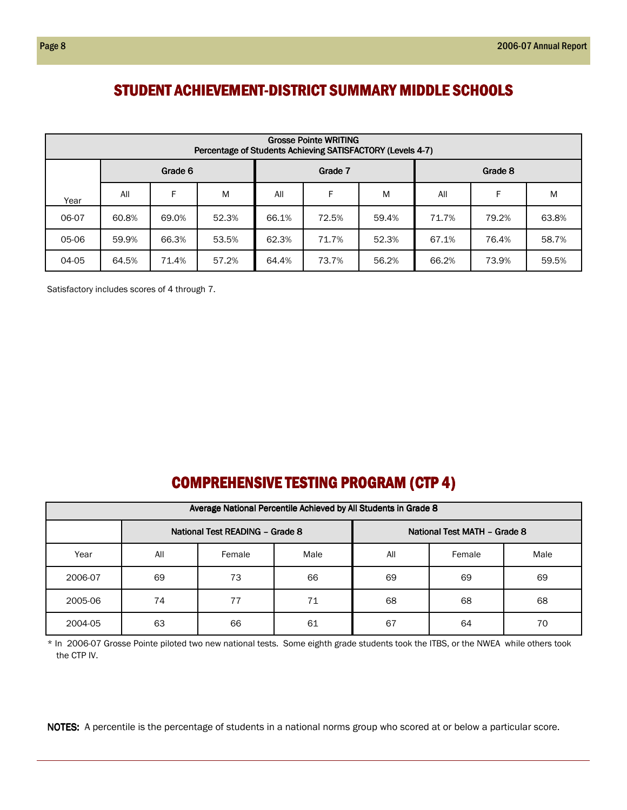## STUDENT ACHIEVEMENT-DISTRICT SUMMARY MIDDLE SCHOOLS

|       | <b>Grosse Pointe WRITING</b><br>Percentage of Students Achieving SATISFACTORY (Levels 4-7) |       |       |       |       |       |       |       |       |  |  |  |  |
|-------|--------------------------------------------------------------------------------------------|-------|-------|-------|-------|-------|-------|-------|-------|--|--|--|--|
|       | Grade 6<br>Grade 8<br>Grade 7                                                              |       |       |       |       |       |       |       |       |  |  |  |  |
| Year  | F.<br>F<br>F<br>M<br>All<br>M<br>All<br>M<br>All                                           |       |       |       |       |       |       |       |       |  |  |  |  |
| 06-07 | 60.8%                                                                                      | 69.0% | 52.3% | 66.1% | 72.5% | 59.4% | 71.7% | 79.2% | 63.8% |  |  |  |  |
| 05-06 | 59.9%                                                                                      | 66.3% | 53.5% | 62.3% | 71.7% | 52.3% | 67.1% | 76.4% | 58.7% |  |  |  |  |
| 04-05 | 64.5%                                                                                      | 71.4% | 57.2% | 64.4% | 73.7% | 56.2% | 66.2% | 73.9% | 59.5% |  |  |  |  |

Satisfactory includes scores of 4 through 7.

# COMPREHENSIVE TESTING PROGRAM (CTP 4)

|         | Average National Percentile Achieved by All Students in Grade 8 |        |      |     |        |      |  |  |  |  |  |  |  |
|---------|-----------------------------------------------------------------|--------|------|-----|--------|------|--|--|--|--|--|--|--|
|         | National Test READING - Grade 8<br>National Test MATH - Grade 8 |        |      |     |        |      |  |  |  |  |  |  |  |
| Year    | All                                                             | Female | Male | All | Female | Male |  |  |  |  |  |  |  |
| 2006-07 | 69                                                              | 73     | 66   | 69  | 69     | 69   |  |  |  |  |  |  |  |
| 2005-06 | 74                                                              | 77     | 71   | 68  | 68     | 68   |  |  |  |  |  |  |  |
| 2004-05 | 63                                                              | 66     | 61   | 67  | 64     | 70   |  |  |  |  |  |  |  |

\* In 2006-07 Grosse Pointe piloted two new national tests. Some eighth grade students took the ITBS, or the NWEA while others took the CTP IV.

NOTES: A percentile is the percentage of students in a national norms group who scored at or below a particular score.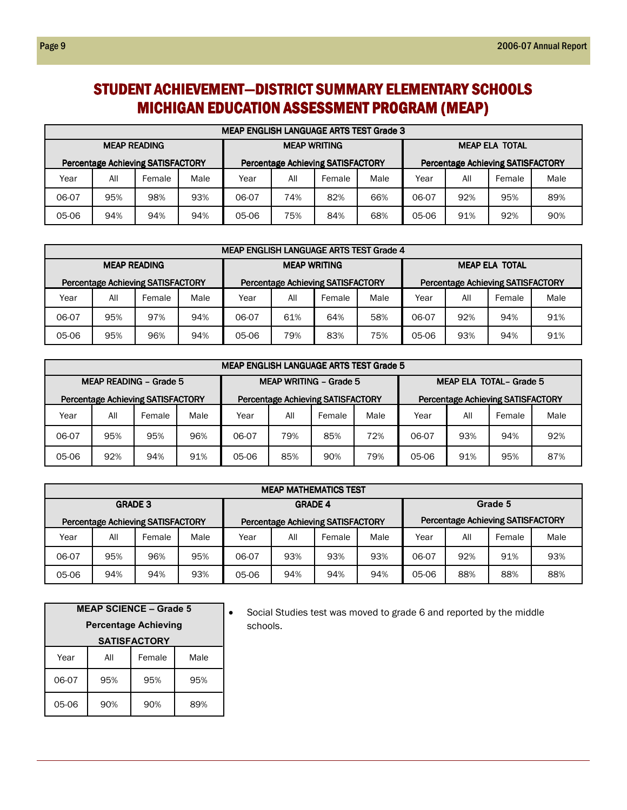# STUDENT ACHIEVEMENT-DISTRICT SUMMARY ELEMENTARY SCHOOLS MICHIGAN EDUCATION ASSESSMENT PROGRAM (MEAP)

| <b>MEAP ENGLISH LANGUAGE ARTS TEST Grade 3</b> |     |                                          |      |       |                     |                                          |      |                       |     |                                          |      |
|------------------------------------------------|-----|------------------------------------------|------|-------|---------------------|------------------------------------------|------|-----------------------|-----|------------------------------------------|------|
| <b>MEAP READING</b>                            |     |                                          |      |       | <b>MEAP WRITING</b> |                                          |      | <b>MEAP ELA TOTAL</b> |     |                                          |      |
|                                                |     | <b>Percentage Achieving SATISFACTORY</b> |      |       |                     | <b>Percentage Achieving SATISFACTORY</b> |      |                       |     | <b>Percentage Achieving SATISFACTORY</b> |      |
| Year                                           | All | Female                                   | Male | Year  | All                 | Female                                   | Male | Year                  | All | Female                                   | Male |
| 06-07                                          | 95% | 98%                                      | 93%  | 06-07 | 74%                 | 82%                                      | 66%  | 06-07                 | 92% | 95%                                      | 89%  |
| 05-06                                          | 94% | 94%                                      | 94%  | 05-06 | 75%                 | 84%                                      | 68%  | 05-06                 | 91% | 92%                                      | 90%  |

| <b>MEAP ENGLISH LANGUAGE ARTS TEST Grade 4</b> |                     |                                          |      |       |                     |                                          |      |                                          |     |        |      |
|------------------------------------------------|---------------------|------------------------------------------|------|-------|---------------------|------------------------------------------|------|------------------------------------------|-----|--------|------|
|                                                | <b>MEAP READING</b> |                                          |      |       | <b>MEAP WRITING</b> |                                          |      | <b>MEAP ELA TOTAL</b>                    |     |        |      |
|                                                |                     | <b>Percentage Achieving SATISFACTORY</b> |      |       |                     | <b>Percentage Achieving SATISFACTORY</b> |      | <b>Percentage Achieving SATISFACTORY</b> |     |        |      |
| Year                                           | All                 | Female                                   | Male | Year  | All                 | Female                                   | Male | Year                                     | All | Female | Male |
| 06-07                                          | 95%                 | 97%                                      | 94%  | 06-07 | 61%                 | 64%                                      | 58%  | 06-07                                    | 92% | 94%    | 91%  |
| 95%<br>96%<br>94%<br>05-06                     |                     |                                          |      | 05-06 | 79%                 | 83%                                      | 75%  | 05-06                                    | 93% | 94%    | 91%  |

| <b>MEAP ENGLISH LANGUAGE ARTS TEST Grade 5</b>                                                   |     |                                          |      |       |                                          |        |       |                                          |     |        |      |
|--------------------------------------------------------------------------------------------------|-----|------------------------------------------|------|-------|------------------------------------------|--------|-------|------------------------------------------|-----|--------|------|
| <b>MEAP READING - Grade 5</b><br><b>MEAP ELA TOTAL- Grade 5</b><br><b>MEAP WRITING - Grade 5</b> |     |                                          |      |       |                                          |        |       |                                          |     |        |      |
|                                                                                                  |     | <b>Percentage Achieving SATISFACTORY</b> |      |       | <b>Percentage Achieving SATISFACTORY</b> |        |       | <b>Percentage Achieving SATISFACTORY</b> |     |        |      |
| Year                                                                                             | All | Female                                   | Male | Year  | All                                      | Female | Male  | Year                                     | All | Female | Male |
| 06-07                                                                                            | 95% | 95%                                      | 96%  | 06-07 | 79%                                      | 85%    | 06-07 | 93%                                      | 94% | 92%    |      |
| 05-06                                                                                            | 92% | 94%                                      | 91%  | 05-06 | 85%                                      | 90%    | 79%   | 05-06                                    | 91% | 95%    | 87%  |

| <b>MEAP MATHEMATICS TEST</b> |                |                                          |      |       |                                   |                                          |         |                                          |     |        |      |
|------------------------------|----------------|------------------------------------------|------|-------|-----------------------------------|------------------------------------------|---------|------------------------------------------|-----|--------|------|
|                              | <b>GRADE 3</b> |                                          |      |       | <b>GRADE 4</b>                    |                                          | Grade 5 |                                          |     |        |      |
|                              |                | <b>Percentage Achieving SATISFACTORY</b> |      |       |                                   | <b>Percentage Achieving SATISFACTORY</b> |         | <b>Percentage Achieving SATISFACTORY</b> |     |        |      |
| Year                         | All            | Female                                   | Male | Year  | All                               | Female                                   | Male    | Year                                     | All | Female | Male |
| 06-07                        | 95%            | 96%                                      | 95%  | 06-07 | 93%<br>93%<br>93%<br>92%<br>06-07 |                                          |         |                                          |     |        | 93%  |
| 94%<br>94%<br>93%<br>05-06   |                |                                          |      | 05-06 | 94%                               | 94%                                      | 94%     | 05-06                                    | 88% | 88%    | 88%  |

| <b>MEAP SCIENCE - Grade 5</b><br><b>Percentage Achieving</b><br><b>SATISFACTORY</b> |                   |     |     |  |  |  |  |  |  |
|-------------------------------------------------------------------------------------|-------------------|-----|-----|--|--|--|--|--|--|
| Female<br>Year<br>Male<br>All                                                       |                   |     |     |  |  |  |  |  |  |
| 06-07                                                                               | 95%               | 95% | 95% |  |  |  |  |  |  |
| 05-06                                                                               | 90%<br>90%<br>89% |     |     |  |  |  |  |  |  |

• Social Studies test was moved to grade 6 and reported by the middle schools.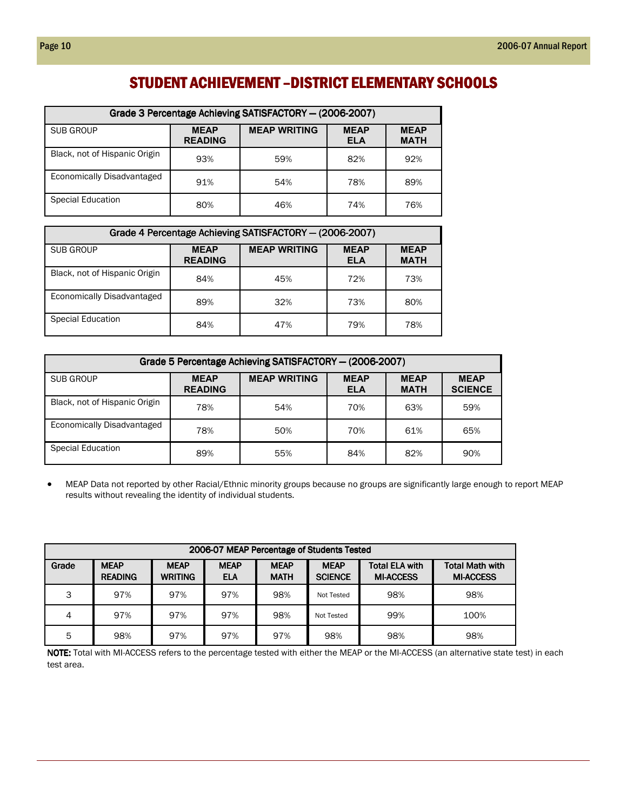# STUDENT ACHIEVEMENT – DISTRICT ELEMENTARY SCHOOLS

| Grade 3 Percentage Achieving SATISFACTORY - (2006-2007) |                               |                     |                           |                            |  |  |  |  |  |  |
|---------------------------------------------------------|-------------------------------|---------------------|---------------------------|----------------------------|--|--|--|--|--|--|
| SUB GROUP                                               | <b>MEAP</b><br><b>READING</b> | <b>MEAP WRITING</b> | <b>MEAP</b><br><b>ELA</b> | <b>MEAP</b><br><b>MATH</b> |  |  |  |  |  |  |
| Black, not of Hispanic Origin                           | 93%                           | 59%                 | 82%                       | 92%                        |  |  |  |  |  |  |
| Economically Disadvantaged                              | 91%                           | 54%                 | 78%                       | 89%                        |  |  |  |  |  |  |
| Special Education                                       | 80%                           | 46%                 | 74%                       | 76%                        |  |  |  |  |  |  |

| Grade 4 Percentage Achieving SATISFACTORY - (2006-2007) |                               |                     |                           |                            |  |  |  |  |  |  |
|---------------------------------------------------------|-------------------------------|---------------------|---------------------------|----------------------------|--|--|--|--|--|--|
| <b>SUB GROUP</b>                                        | <b>MEAP</b><br><b>READING</b> | <b>MEAP WRITING</b> | <b>MEAP</b><br><b>ELA</b> | <b>MEAP</b><br><b>MATH</b> |  |  |  |  |  |  |
| Black, not of Hispanic Origin                           | 84%                           | 45%                 | 72%                       | 73%                        |  |  |  |  |  |  |
| Economically Disadvantaged                              | 89%                           | 32%                 | 73%                       | 80%                        |  |  |  |  |  |  |
| <b>Special Education</b>                                | 84%                           | 47%                 | 79%                       | 78%                        |  |  |  |  |  |  |

| Grade 5 Percentage Achieving SATISFACTORY - (2006-2007) |                               |                     |                           |                            |                               |  |  |  |  |  |
|---------------------------------------------------------|-------------------------------|---------------------|---------------------------|----------------------------|-------------------------------|--|--|--|--|--|
| <b>SUB GROUP</b>                                        | <b>MEAP</b><br><b>READING</b> | <b>MEAP WRITING</b> | <b>MEAP</b><br><b>ELA</b> | <b>MEAP</b><br><b>MATH</b> | <b>MEAP</b><br><b>SCIENCE</b> |  |  |  |  |  |
| Black, not of Hispanic Origin                           | 78%                           | 54%                 | 70%                       | 63%                        | 59%                           |  |  |  |  |  |
| Economically Disadvantaged                              | 78%                           | 50%                 | 70%                       | 61%                        | 65%                           |  |  |  |  |  |
| <b>Special Education</b>                                | 89%                           | 55%                 | 84%                       | 82%                        | 90%                           |  |  |  |  |  |

• MEAP Data not reported by other Racial/Ethnic minority groups because no groups are significantly large enough to report MEAP results without revealing the identity of individual students.

| 2006-07 MEAP Percentage of Students Tested |                               |                               |                           |                            |                               |                                           |                                            |  |  |  |
|--------------------------------------------|-------------------------------|-------------------------------|---------------------------|----------------------------|-------------------------------|-------------------------------------------|--------------------------------------------|--|--|--|
| Grade                                      | <b>MEAP</b><br><b>READING</b> | <b>MEAP</b><br><b>WRITING</b> | <b>MEAP</b><br><b>ELA</b> | <b>MEAP</b><br><b>MATH</b> | <b>MEAP</b><br><b>SCIENCE</b> | <b>Total ELA with</b><br><b>MI-ACCESS</b> | <b>Total Math with</b><br><b>MI-ACCESS</b> |  |  |  |
| 3                                          | 97%                           | 97%                           | 97%                       | 98%                        | Not Tested                    | 98%                                       | 98%                                        |  |  |  |
| 4                                          | 97%                           | 97%                           | 97%                       | 98%                        | Not Tested                    | 99%                                       | 100%                                       |  |  |  |
| 5                                          | 98%                           | 97%                           | 97%                       | 97%                        | 98%                           | 98%                                       | 98%                                        |  |  |  |

NOTE: Total with MI-ACCESS refers to the percentage tested with either the MEAP or the MI-ACCESS (an alternative state test) in each test area.